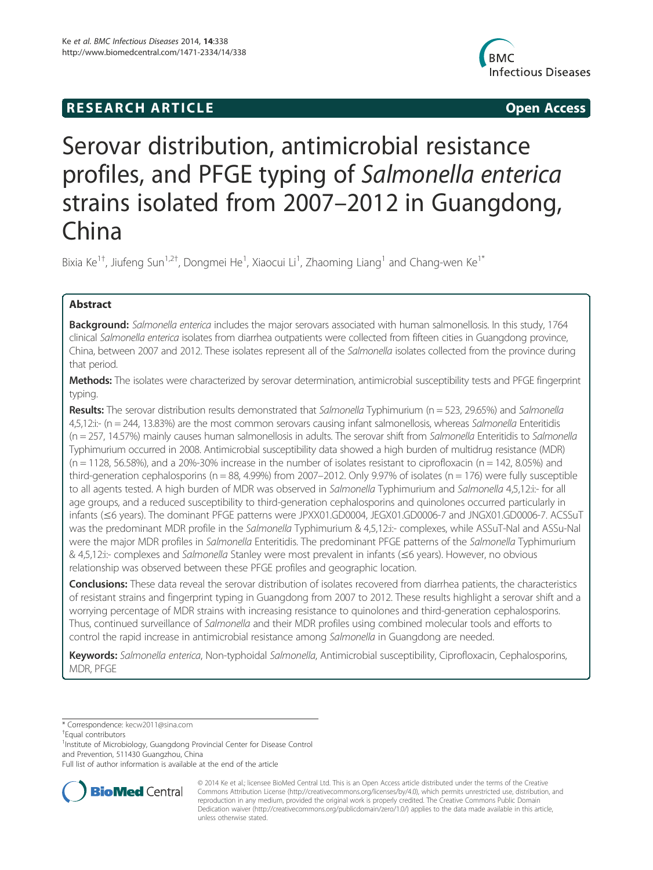# **RESEARCH ARTICLE Example 2014 12:30 The SEAR CHA RTICLE**



# Serovar distribution, antimicrobial resistance profiles, and PFGE typing of Salmonella enterica strains isolated from 2007–2012 in Guangdong, China

Bixia Ke<sup>1†</sup>, Jiufeng Sun<sup>1,2†</sup>, Dongmei He<sup>1</sup>, Xiaocui Li<sup>1</sup>, Zhaoming Liang<sup>1</sup> and Chang-wen Ke<sup>1\*</sup>

# Abstract

Background: Salmonella enterica includes the major serovars associated with human salmonellosis. In this study, 1764 clinical Salmonella enterica isolates from diarrhea outpatients were collected from fifteen cities in Guangdong province, China, between 2007 and 2012. These isolates represent all of the Salmonella isolates collected from the province during that period.

Methods: The isolates were characterized by serovar determination, antimicrobial susceptibility tests and PFGE fingerprint typing.

Results: The serovar distribution results demonstrated that Salmonella Typhimurium (n = 523, 29.65%) and Salmonella 4,5,12:i:- (n = 244, 13.83%) are the most common serovars causing infant salmonellosis, whereas Salmonella Enteritidis (n = 257, 14.57%) mainly causes human salmonellosis in adults. The serovar shift from Salmonella Enteritidis to Salmonella Typhimurium occurred in 2008. Antimicrobial susceptibility data showed a high burden of multidrug resistance (MDR)  $(n = 1128, 56.58%)$ , and a 20%-30% increase in the number of isolates resistant to ciprofloxacin  $(n = 142, 8.05%)$  and third-generation cephalosporins ( $n = 88, 4.99%$ ) from 2007–2012. Only 9.97% of isolates ( $n = 176$ ) were fully susceptible to all agents tested. A high burden of MDR was observed in Salmonella Typhimurium and Salmonella 4,5,12:i:- for all age groups, and a reduced susceptibility to third-generation cephalosporins and quinolones occurred particularly in infants (≤6 years). The dominant PFGE patterns were JPXX01.GD0004, JEGX01.GD0006-7 and JNGX01.GD0006-7. ACSSuT was the predominant MDR profile in the Salmonella Typhimurium & 4,5,12:i:- complexes, while ASSuT-Nal and ASSu-Nal were the major MDR profiles in Salmonella Enteritidis. The predominant PFGE patterns of the Salmonella Typhimurium & 4,5,12:i:- complexes and Salmonella Stanley were most prevalent in infants (≤6 years). However, no obvious relationship was observed between these PFGE profiles and geographic location.

Conclusions: These data reveal the serovar distribution of isolates recovered from diarrhea patients, the characteristics of resistant strains and fingerprint typing in Guangdong from 2007 to 2012. These results highlight a serovar shift and a worrying percentage of MDR strains with increasing resistance to quinolones and third-generation cephalosporins. Thus, continued surveillance of Salmonella and their MDR profiles using combined molecular tools and efforts to control the rapid increase in antimicrobial resistance among Salmonella in Guangdong are needed.

Keywords: Salmonella enterica, Non-typhoidal Salmonella, Antimicrobial susceptibility, Ciprofloxacin, Cephalosporins, MDR, PFGE

\* Correspondence: kecw2011@sina.com †

<sup>1</sup>Institute of Microbiology, Guangdong Provincial Center for Disease Control and Prevention, 511430 Guangzhou, China

Full list of author information is available at the end of the article



© 2014 Ke et al.; licensee BioMed Central Ltd. This is an Open Access article distributed under the terms of the Creative Commons Attribution License (http://creativecommons.org/licenses/by/4.0), which permits unrestricted use, distribution, and reproduction in any medium, provided the original work is properly credited. The Creative Commons Public Domain Dedication waiver (http://creativecommons.org/publicdomain/zero/1.0/) applies to the data made available in this article, unless otherwise stated.

Equal contributors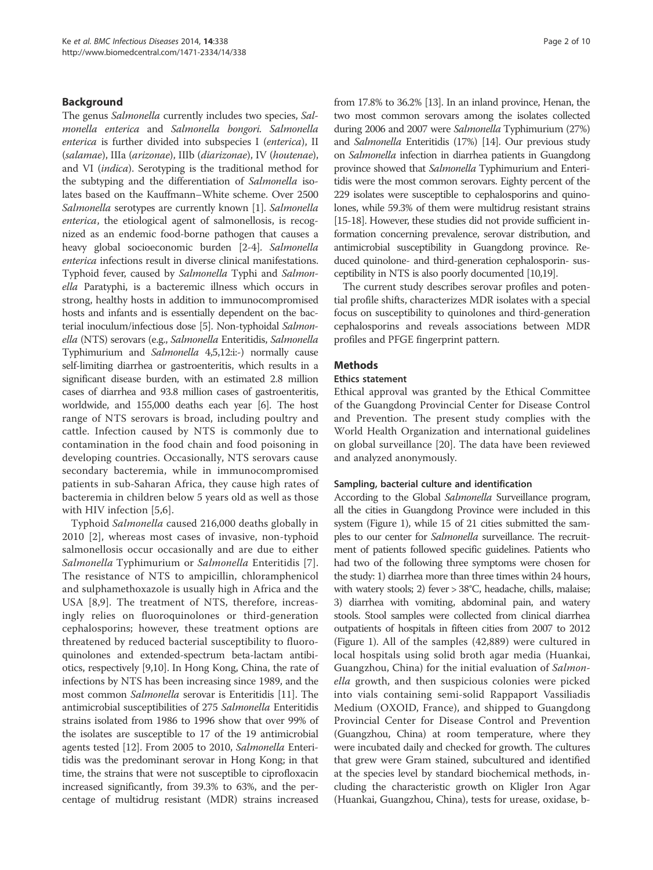# Background

The genus Salmonella currently includes two species, Salmonella enterica and Salmonella bongori. Salmonella enterica is further divided into subspecies I (enterica), II (salamae), IIIa (arizonae), IIIb (diarizonae), IV (houtenae), and VI (indica). Serotyping is the traditional method for the subtyping and the differentiation of Salmonella isolates based on the Kauffmann–White scheme. Over 2500 Salmonella serotypes are currently known [1]. Salmonella enterica, the etiological agent of salmonellosis, is recognized as an endemic food-borne pathogen that causes a heavy global socioeconomic burden [2-4]. Salmonella enterica infections result in diverse clinical manifestations. Typhoid fever, caused by Salmonella Typhi and Salmonella Paratyphi, is a bacteremic illness which occurs in strong, healthy hosts in addition to immunocompromised hosts and infants and is essentially dependent on the bacterial inoculum/infectious dose [5]. Non-typhoidal Salmonella (NTS) serovars (e.g., Salmonella Enteritidis, Salmonella Typhimurium and Salmonella 4,5,12:i:-) normally cause self-limiting diarrhea or gastroenteritis, which results in a significant disease burden, with an estimated 2.8 million cases of diarrhea and 93.8 million cases of gastroenteritis, worldwide, and 155,000 deaths each year [6]. The host range of NTS serovars is broad, including poultry and cattle. Infection caused by NTS is commonly due to contamination in the food chain and food poisoning in developing countries. Occasionally, NTS serovars cause secondary bacteremia, while in immunocompromised patients in sub-Saharan Africa, they cause high rates of bacteremia in children below 5 years old as well as those with HIV infection [5,6].

Typhoid Salmonella caused 216,000 deaths globally in 2010 [2], whereas most cases of invasive, non-typhoid salmonellosis occur occasionally and are due to either Salmonella Typhimurium or Salmonella Enteritidis [7]. The resistance of NTS to ampicillin, chloramphenicol and sulphamethoxazole is usually high in Africa and the USA [8,9]. The treatment of NTS, therefore, increasingly relies on fluoroquinolones or third-generation cephalosporins; however, these treatment options are threatened by reduced bacterial susceptibility to fluoroquinolones and extended-spectrum beta-lactam antibiotics, respectively [9,10]. In Hong Kong, China, the rate of infections by NTS has been increasing since 1989, and the most common Salmonella serovar is Enteritidis [11]. The antimicrobial susceptibilities of 275 Salmonella Enteritidis strains isolated from 1986 to 1996 show that over 99% of the isolates are susceptible to 17 of the 19 antimicrobial agents tested [12]. From 2005 to 2010, Salmonella Enteritidis was the predominant serovar in Hong Kong; in that time, the strains that were not susceptible to ciprofloxacin increased significantly, from 39.3% to 63%, and the percentage of multidrug resistant (MDR) strains increased

from 17.8% to 36.2% [13]. In an inland province, Henan, the two most common serovars among the isolates collected during 2006 and 2007 were Salmonella Typhimurium (27%) and Salmonella Enteritidis (17%) [14]. Our previous study on Salmonella infection in diarrhea patients in Guangdong province showed that Salmonella Typhimurium and Enteritidis were the most common serovars. Eighty percent of the 229 isolates were susceptible to cephalosporins and quinolones, while 59.3% of them were multidrug resistant strains [15-18]. However, these studies did not provide sufficient information concerning prevalence, serovar distribution, and antimicrobial susceptibility in Guangdong province. Reduced quinolone- and third-generation cephalosporin- susceptibility in NTS is also poorly documented [10,19].

The current study describes serovar profiles and potential profile shifts, characterizes MDR isolates with a special focus on susceptibility to quinolones and third-generation cephalosporins and reveals associations between MDR profiles and PFGE fingerprint pattern.

# Methods

#### Ethics statement

Ethical approval was granted by the Ethical Committee of the Guangdong Provincial Center for Disease Control and Prevention. The present study complies with the World Health Organization and international guidelines on global surveillance [20]. The data have been reviewed and analyzed anonymously.

#### Sampling, bacterial culture and identification

According to the Global Salmonella Surveillance program, all the cities in Guangdong Province were included in this system (Figure 1), while 15 of 21 cities submitted the samples to our center for Salmonella surveillance. The recruitment of patients followed specific guidelines. Patients who had two of the following three symptoms were chosen for the study: 1) diarrhea more than three times within 24 hours, with watery stools; 2) fever > 38°C, headache, chills, malaise; 3) diarrhea with vomiting, abdominal pain, and watery stools. Stool samples were collected from clinical diarrhea outpatients of hospitals in fifteen cities from 2007 to 2012 (Figure 1). All of the samples (42,889) were cultured in local hospitals using solid broth agar media (Huankai, Guangzhou, China) for the initial evaluation of Salmonella growth, and then suspicious colonies were picked into vials containing semi-solid Rappaport Vassiliadis Medium (OXOID, France), and shipped to Guangdong Provincial Center for Disease Control and Prevention (Guangzhou, China) at room temperature, where they were incubated daily and checked for growth. The cultures that grew were Gram stained, subcultured and identified at the species level by standard biochemical methods, including the characteristic growth on Kligler Iron Agar (Huankai, Guangzhou, China), tests for urease, oxidase, b-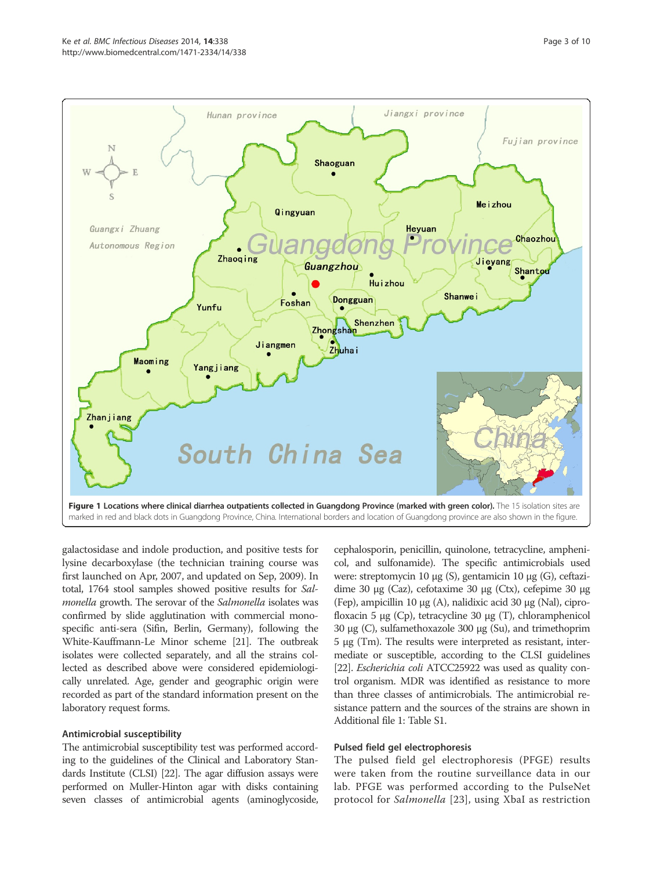

galactosidase and indole production, and positive tests for lysine decarboxylase (the technician training course was first launched on Apr, 2007, and updated on Sep, 2009). In total, 1764 stool samples showed positive results for Salmonella growth. The serovar of the Salmonella isolates was confirmed by slide agglutination with commercial monospecific anti-sera (Sifin, Berlin, Germany), following the White-Kauffmann-Le Minor scheme [21]. The outbreak isolates were collected separately, and all the strains collected as described above were considered epidemiologically unrelated. Age, gender and geographic origin were recorded as part of the standard information present on the laboratory request forms.

#### Antimicrobial susceptibility

The antimicrobial susceptibility test was performed according to the guidelines of the Clinical and Laboratory Standards Institute (CLSI) [22]. The agar diffusion assays were performed on Muller-Hinton agar with disks containing seven classes of antimicrobial agents (aminoglycoside, cephalosporin, penicillin, quinolone, tetracycline, amphenicol, and sulfonamide). The specific antimicrobials used were: streptomycin 10 μg (S), gentamicin 10 μg (G), ceftazidime 30 μg (Caz), cefotaxime 30 μg (Ctx), cefepime 30 μg (Fep), ampicillin 10 μg (A), nalidixic acid 30 μg (Nal), ciprofloxacin 5 μg (Cp), tetracycline 30 μg (T), chloramphenicol 30 μg (C), sulfamethoxazole 300 μg (Su), and trimethoprim 5 μg (Tm). The results were interpreted as resistant, intermediate or susceptible, according to the CLSI guidelines [22]. *Escherichia coli* ATCC25922 was used as quality control organism. MDR was identified as resistance to more than three classes of antimicrobials. The antimicrobial resistance pattern and the sources of the strains are shown in Additional file 1: Table S1.

#### Pulsed field gel electrophoresis

The pulsed field gel electrophoresis (PFGE) results were taken from the routine surveillance data in our lab. PFGE was performed according to the PulseNet protocol for Salmonella [23], using XbaI as restriction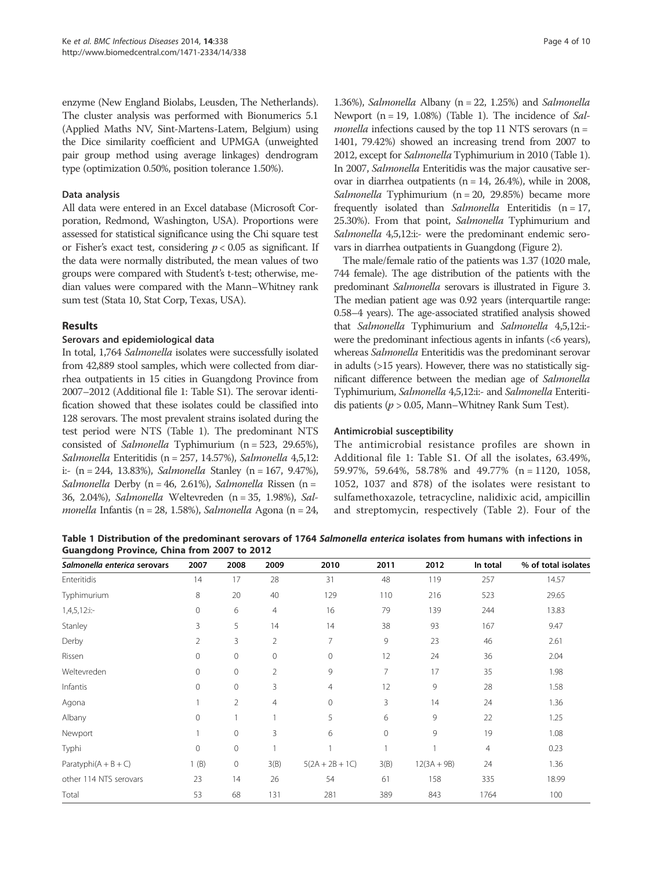enzyme (New England Biolabs, Leusden, The Netherlands). The cluster analysis was performed with Bionumerics 5.1 (Applied Maths NV, Sint-Martens-Latem, Belgium) using the Dice similarity coefficient and UPMGA (unweighted pair group method using average linkages) dendrogram type (optimization 0.50%, position tolerance 1.50%).

#### Data analysis

All data were entered in an Excel database (Microsoft Corporation, Redmond, Washington, USA). Proportions were assessed for statistical significance using the Chi square test or Fisher's exact test, considering  $p < 0.05$  as significant. If the data were normally distributed, the mean values of two groups were compared with Student's t-test; otherwise, median values were compared with the Mann–Whitney rank sum test (Stata 10, Stat Corp, Texas, USA).

# Results

#### Serovars and epidemiological data

In total, 1,764 Salmonella isolates were successfully isolated from 42,889 stool samples, which were collected from diarrhea outpatients in 15 cities in Guangdong Province from 2007–2012 (Additional file 1: Table S1). The serovar identification showed that these isolates could be classified into 128 serovars. The most prevalent strains isolated during the test period were NTS (Table 1). The predominant NTS consisted of Salmonella Typhimurium (n = 523, 29.65%), Salmonella Enteritidis (n = 257, 14.57%), Salmonella 4,5,12: i:- (n = 244, 13.83%), Salmonella Stanley (n = 167, 9.47%), Salmonella Derby (n = 46, 2.61%), Salmonella Rissen (n = 36, 2.04%), Salmonella Weltevreden (n = 35, 1.98%), Salmonella Infantis (n = 28, 1.58%), Salmonella Agona (n = 24,

1.36%), Salmonella Albany ( $n = 22$ , 1.25%) and Salmonella Newport ( $n = 19$ , 1.08%) (Table 1). The incidence of Sal*monella* infections caused by the top 11 NTS serovars ( $n =$ 1401, 79.42%) showed an increasing trend from 2007 to 2012, except for SalmonellaTyphimurium in 2010 (Table 1). In 2007, Salmonella Enteritidis was the major causative serovar in diarrhea outpatients ( $n = 14$ , 26.4%), while in 2008, Salmonella Typhimurium (n = 20, 29.85%) became more frequently isolated than Salmonella Enteritidis  $(n = 17)$ , 25.30%). From that point, Salmonella Typhimurium and Salmonella 4,5,12:i:- were the predominant endemic serovars in diarrhea outpatients in Guangdong (Figure 2).

The male/female ratio of the patients was 1.37 (1020 male, 744 female). The age distribution of the patients with the predominant Salmonella serovars is illustrated in Figure 3. The median patient age was 0.92 years (interquartile range: 0.58–4 years). The age-associated stratified analysis showed that Salmonella Typhimurium and Salmonella 4,5,12:i: were the predominant infectious agents in infants  $( $6$  years),$ whereas Salmonella Enteritidis was the predominant serovar in adults (>15 years). However, there was no statistically significant difference between the median age of Salmonella Typhimurium, Salmonella 4,5,12:i:- and Salmonella Enteritidis patients ( $p > 0.05$ , Mann–Whitney Rank Sum Test).

#### Antimicrobial susceptibility

The antimicrobial resistance profiles are shown in Additional file 1: Table S1. Of all the isolates, 63.49%, 59.97%, 59.64%, 58.78% and 49.77% (n = 1120, 1058, 1052, 1037 and 878) of the isolates were resistant to sulfamethoxazole, tetracycline, nalidixic acid, ampicillin and streptomycin, respectively (Table 2). Four of the

Table 1 Distribution of the predominant serovars of 1764 Salmonella enterica isolates from humans with infections in Guangdong Province, China from 2007 to 2012

| Salmonella enterica serovars | 2007           | 2008           | 2009 | 2010              | 2011           | 2012          | In total       | % of total isolates |
|------------------------------|----------------|----------------|------|-------------------|----------------|---------------|----------------|---------------------|
| Enteritidis                  | 14             | 17             | 28   | 31                | 48             | 119           | 257            | 14.57               |
| Typhimurium                  | 8              | 20             | 40   | 129               | 110            | 216           | 523            | 29.65               |
| $1,4,5,12$ :i:-              | 0              | 6              | 4    | 16                | 79             | 139           | 244            | 13.83               |
| Stanley                      | 3              | 5              | 14   | 14                | 38             | 93            | 167            | 9.47                |
| Derby                        | $\overline{2}$ | 3              | 2    | 7                 | 9              | 23            | 46             | 2.61                |
| Rissen                       | $\circ$        | $\mathbf 0$    | 0    | $\mathbf{0}$      | 12             | 24            | 36             | 2.04                |
| Weltevreden                  | $\mathbf{0}$   | $\mathbf 0$    | 2    | 9                 | $\overline{7}$ | 17            | 35             | 1.98                |
| Infantis                     | $\mathbf{0}$   | $\mathbf 0$    | 3    | $\overline{4}$    | 12             | 9             | 28             | 1.58                |
| Agona                        |                | $\overline{2}$ | 4    | $\mathbf{0}$      | 3              | 14            | 24             | 1.36                |
| Albany                       | $\mathbf 0$    |                |      | 5                 | 6              | 9             | 22             | 1.25                |
| Newport                      |                | $\mathbf 0$    | 3    | 6                 | $\circ$        | 9             | 19             | 1.08                |
| Typhi                        | $\overline{0}$ | $\mathbf 0$    |      | $\overline{1}$    | 1              |               | $\overline{4}$ | 0.23                |
| Paratyphi $(A + B + C)$      | (B)            | $\mathbf 0$    | 3(B) | $5(2A + 2B + 1C)$ | 3(B)           | $12(3A + 9B)$ | 24             | 1.36                |
| other 114 NTS serovars       | 23             | 14             | 26   | 54                | 61             | 158           | 335            | 18.99               |
| Total                        | 53             | 68             | 131  | 281               | 389            | 843           | 1764           | 100                 |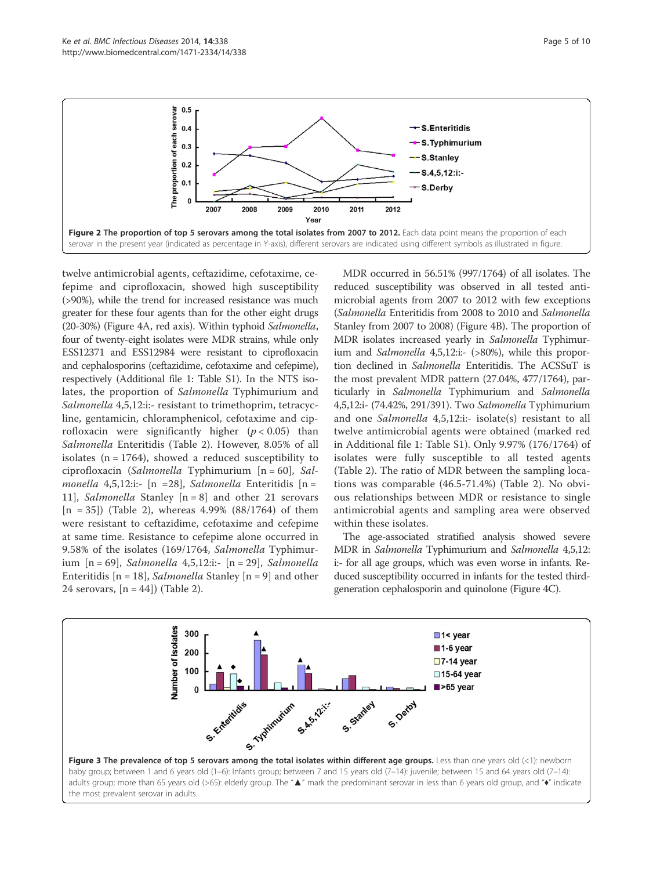

twelve antimicrobial agents, ceftazidime, cefotaxime, cefepime and ciprofloxacin, showed high susceptibility (>90%), while the trend for increased resistance was much greater for these four agents than for the other eight drugs (20-30%) (Figure 4A, red axis). Within typhoid Salmonella, four of twenty-eight isolates were MDR strains, while only ESS12371 and ESS12984 were resistant to ciprofloxacin and cephalosporins (ceftazidime, cefotaxime and cefepime), respectively (Additional file 1: Table S1). In the NTS isolates, the proportion of Salmonella Typhimurium and Salmonella 4,5,12:i:- resistant to trimethoprim, tetracycline, gentamicin, chloramphenicol, cefotaxime and ciprofloxacin were significantly higher  $(p < 0.05)$  than Salmonella Enteritidis (Table 2). However, 8.05% of all isolates  $(n = 1764)$ , showed a reduced susceptibility to ciprofloxacin (Salmonella Typhimurium [n = 60], Salmonella 4,5,12:i:- [n =28], Salmonella Enteritidis [n = 11], *Salmonella* Stanley  $[n = 8]$  and other 21 serovars  $[n = 35]$ ) (Table 2), whereas 4.99% (88/1764) of them were resistant to ceftazidime, cefotaxime and cefepime at same time. Resistance to cefepime alone occurred in 9.58% of the isolates (169/1764, Salmonella Typhimurium [n = 69], Salmonella 4,5,12:i:- [n = 29], Salmonella Enteritidis  $[n = 18]$ , *Salmonella* Stanley  $[n = 9]$  and other 24 serovars,  $[n = 44]$ ) (Table 2).

MDR occurred in 56.51% (997/1764) of all isolates. The reduced susceptibility was observed in all tested antimicrobial agents from 2007 to 2012 with few exceptions (Salmonella Enteritidis from 2008 to 2010 and Salmonella Stanley from 2007 to 2008) (Figure 4B). The proportion of MDR isolates increased yearly in Salmonella Typhimurium and Salmonella 4,5,12:i:- (>80%), while this proportion declined in Salmonella Enteritidis. The ACSSuT is the most prevalent MDR pattern (27.04%, 477/1764), particularly in Salmonella Typhimurium and Salmonella 4,5,12:i- (74.42%, 291/391). Two Salmonella Typhimurium and one Salmonella 4,5,12:i:- isolate(s) resistant to all twelve antimicrobial agents were obtained (marked red in Additional file 1: Table S1). Only 9.97% (176/1764) of isolates were fully susceptible to all tested agents (Table 2). The ratio of MDR between the sampling locations was comparable (46.5-71.4%) (Table 2). No obvious relationships between MDR or resistance to single antimicrobial agents and sampling area were observed within these isolates.

The age-associated stratified analysis showed severe MDR in Salmonella Typhimurium and Salmonella 4,5,12: i:- for all age groups, which was even worse in infants. Reduced susceptibility occurred in infants for the tested thirdgeneration cephalosporin and quinolone (Figure 4C).

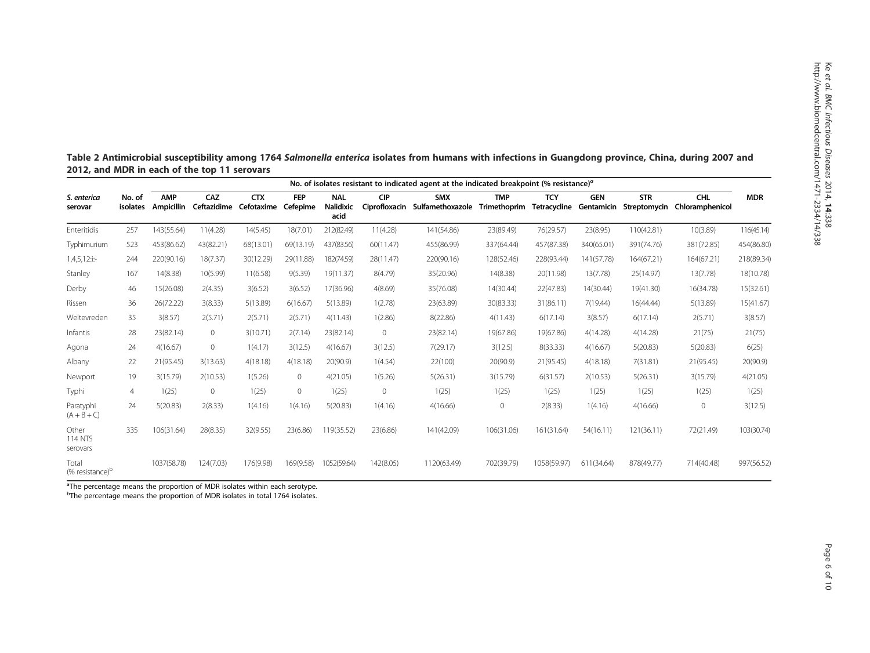|                                      |                    | No. of isolates resistant to indicated agent at the indicated breakpoint (% resistance) <sup>a</sup> |                    |                          |                        |                                        |                             |                                |                            |                            |                          |                            |                        |            |  |
|--------------------------------------|--------------------|------------------------------------------------------------------------------------------------------|--------------------|--------------------------|------------------------|----------------------------------------|-----------------------------|--------------------------------|----------------------------|----------------------------|--------------------------|----------------------------|------------------------|------------|--|
| S. enterica<br>serovar               | No. of<br>isolates | <b>AMP</b><br>Ampicillin                                                                             | CAZ<br>Ceftazidime | <b>CTX</b><br>Cefotaxime | <b>FEP</b><br>Cefepime | <b>NAL</b><br><b>Nalidixic</b><br>acid | <b>CIP</b><br>Ciprofloxacin | <b>SMX</b><br>Sulfamethoxazole | <b>TMP</b><br>Trimethoprim | <b>TCY</b><br>Tetracycline | <b>GEN</b><br>Gentamicin | <b>STR</b><br>Streptomycin | CHL<br>Chloramphenicol | <b>MDR</b> |  |
| Enteritidis                          | 257                | 143(55.64)                                                                                           | 11(4.28)           | 14(5.45)                 | 18(7.01)               | 212(82.49)                             | 11(4.28)                    | 141(54.86)                     | 23(89.49)                  | 76(29.57)                  | 23(8.95)                 | 110(42.81)                 | 10(3.89)               | 116(45.14) |  |
| Typhimurium                          | 523                | 453(86.62)                                                                                           | 43(82.21)          | 68(13.01)                | 69(13.19)              | 437(83.56)                             | 60(11.47)                   | 455(86.99)                     | 337(64.44)                 | 457(87.38)                 | 340(65.01)               | 391(74.76)                 | 381(72.85)             | 454(86.80) |  |
| $1,4,5,12$ :i:-                      | 244                | 220(90.16)                                                                                           | 18(7.37)           | 30(12.29)                | 29(11.88)              | 182(74.59)                             | 28(11.47)                   | 220(90.16)                     | 128(52.46)                 | 228(93.44)                 | 141(57.78)               | 164(67.21)                 | 164(67.21)             | 218(89.34) |  |
| Stanley                              | 167                | 14(8.38)                                                                                             | 10(5.99)           | 11(6.58)                 | 9(5.39)                | 19(11.37)                              | 8(4.79)                     | 35(20.96)                      | 14(8.38)                   | 20(11.98)                  | 13(7.78)                 | 25(14.97)                  | 13(7.78)               | 18(10.78)  |  |
| Derby                                | 46                 | 15(26.08)                                                                                            | 2(4.35)            | 3(6.52)                  | 3(6.52)                | 17(36.96)                              | 4(8.69)                     | 35(76.08)                      | 14(30.44)                  | 22(47.83)                  | 14(30.44)                | 19(41.30)                  | 16(34.78)              | 15(32.61)  |  |
| Rissen                               | 36                 | 26(72.22)                                                                                            | 3(8.33)            | 5(13.89)                 | 6(16.67)               | 5(13.89)                               | 1(2.78)                     | 23(63.89)                      | 30(83.33)                  | 31(86.11)                  | 7(19.44)                 | 16(44.44)                  | 5(13.89)               | 15(41.67)  |  |
| Weltevreden                          | 35                 | 3(8.57)                                                                                              | 2(5.71)            | 2(5.71)                  | 2(5.71)                | 4(11.43)                               | 1(2.86)                     | 8(22.86)                       | 4(11.43)                   | 6(17.14)                   | 3(8.57)                  | 6(17.14)                   | 2(5.71)                | 3(8.57)    |  |
| Infantis                             | 28                 | 23(82.14)                                                                                            | $\mathbf{0}$       | 3(10.71)                 | 2(7.14)                | 23(82.14)                              | $\circ$                     | 23(82.14)                      | 19(67.86)                  | 19(67.86)                  | 4(14.28)                 | 4(14.28)                   | 21(75)                 | 21(75)     |  |
| Agona                                | 24                 | 4(16.67)                                                                                             | $\mathbf{0}$       | 1(4.17)                  | 3(12.5)                | 4(16.67)                               | 3(12.5)                     | 7(29.17)                       | 3(12.5)                    | 8(33.33)                   | 4(16.67)                 | 5(20.83)                   | 5(20.83)               | 6(25)      |  |
| Albany                               | 22                 | 21(95.45)                                                                                            | 3(13.63)           | 4(18.18)                 | 4(18.18)               | 20(90.9)                               | 1(4.54)                     | 22(100)                        | 20(90.9)                   | 21(95.45)                  | 4(18.18)                 | 7(31.81)                   | 21(95.45)              | 20(90.9)   |  |
| Newport                              | 19                 | 3(15.79)                                                                                             | 2(10.53)           | 1(5.26)                  | $\circ$                | 4(21.05)                               | 1(5.26)                     | 5(26.31)                       | 3(15.79)                   | 6(31.57)                   | 2(10.53)                 | 5(26.31)                   | 3(15.79)               | 4(21.05)   |  |
| Typhi                                | $\overline{4}$     | 1(25)                                                                                                | $\mathbf 0$        | 1(25)                    | $\circ$                | 1(25)                                  | $\mathbf{0}$                | 1(25)                          | 1(25)                      | 1(25)                      | 1(25)                    | 1(25)                      | 1(25)                  | 1(25)      |  |
| Paratyphi<br>$(A + B + C)$           | 24                 | 5(20.83)                                                                                             | 2(8.33)            | 1(4.16)                  | 1(4.16)                | 5(20.83)                               | 1(4.16)                     | 4(16.66)                       | $\mathbf{0}$               | 2(8.33)                    | 1(4.16)                  | 4(16.66)                   | $\mathbf 0$            | 3(12.5)    |  |
| Other<br><b>114 NTS</b><br>serovars  | 335                | 106(31.64)                                                                                           | 28(8.35)           | 32(9.55)                 | 23(6.86)               | 119(35.52)                             | 23(6.86)                    | 141(42.09)                     | 106(31.06)                 | 161(31.64)                 | 54(16.11)                | 121(36.11)                 | 72(21.49)              | 103(30.74) |  |
| Total<br>(% resistance) <sup>b</sup> |                    | 1037(58.78)                                                                                          | 124(7.03)          | 176(9.98)                | 169(9.58)              | 1052(59.64)                            | 142(8.05)                   | 1120(63.49)                    | 702(39.79)                 | 1058(59.97)                | 611(34.64)               | 878(49.77)                 | 714(40.48)             | 997(56.52) |  |

Table 2 Antimicrobial susceptibility among 1764 Salmonella enterica isolates from humans with infections in Guangdong province, China, during 2007 and 2012, and MDR in each of the top 11 serovars

<sup>a</sup>The percentage means the proportion of MDR isolates within each serotype.<br><sup>b</sup>The percentage means the proportion of MDR isolates in total 1764 isolates.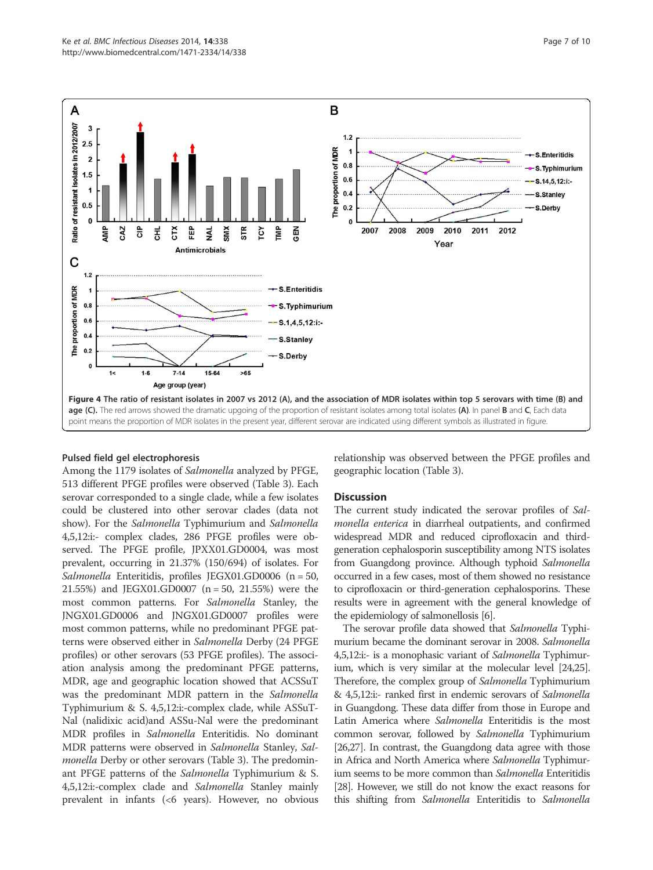



#### Pulsed field gel electrophoresis

Among the 1179 isolates of Salmonella analyzed by PFGE, 513 different PFGE profiles were observed (Table 3). Each serovar corresponded to a single clade, while a few isolates could be clustered into other serovar clades (data not show). For the Salmonella Typhimurium and Salmonella 4,5,12:i:- complex clades, 286 PFGE profiles were observed. The PFGE profile, JPXX01.GD0004, was most prevalent, occurring in 21.37% (150/694) of isolates. For Salmonella Enteritidis, profiles JEGX01.GD0006 (n = 50, 21.55%) and JEGX01.GD0007 (n = 50, 21.55%) were the most common patterns. For Salmonella Stanley, the JNGX01.GD0006 and JNGX01.GD0007 profiles were most common patterns, while no predominant PFGE patterns were observed either in Salmonella Derby (24 PFGE profiles) or other serovars (53 PFGE profiles). The association analysis among the predominant PFGE patterns, MDR, age and geographic location showed that ACSSuT was the predominant MDR pattern in the Salmonella Typhimurium & S. 4,5,12:i:-complex clade, while ASSuT-Nal (nalidixic acid)and ASSu-Nal were the predominant MDR profiles in Salmonella Enteritidis. No dominant MDR patterns were observed in Salmonella Stanley, Salmonella Derby or other serovars (Table 3). The predominant PFGE patterns of the Salmonella Typhimurium & S. 4,5,12:i:-complex clade and Salmonella Stanley mainly prevalent in infants (<6 years). However, no obvious relationship was observed between the PFGE profiles and geographic location (Table 3).

#### **Discussion**

The current study indicated the serovar profiles of Salmonella enterica in diarrheal outpatients, and confirmed widespread MDR and reduced ciprofloxacin and thirdgeneration cephalosporin susceptibility among NTS isolates from Guangdong province. Although typhoid Salmonella occurred in a few cases, most of them showed no resistance to ciprofloxacin or third-generation cephalosporins. These results were in agreement with the general knowledge of the epidemiology of salmonellosis [6].

The serovar profile data showed that Salmonella Typhimurium became the dominant serovar in 2008. Salmonella 4,5,12:i:- is a monophasic variant of Salmonella Typhimurium, which is very similar at the molecular level [24,25]. Therefore, the complex group of Salmonella Typhimurium & 4,5,12:i:- ranked first in endemic serovars of Salmonella in Guangdong. These data differ from those in Europe and Latin America where Salmonella Enteritidis is the most common serovar, followed by Salmonella Typhimurium [26,27]. In contrast, the Guangdong data agree with those in Africa and North America where Salmonella Typhimurium seems to be more common than Salmonella Enteritidis [28]. However, we still do not know the exact reasons for this shifting from Salmonella Enteritidis to Salmonella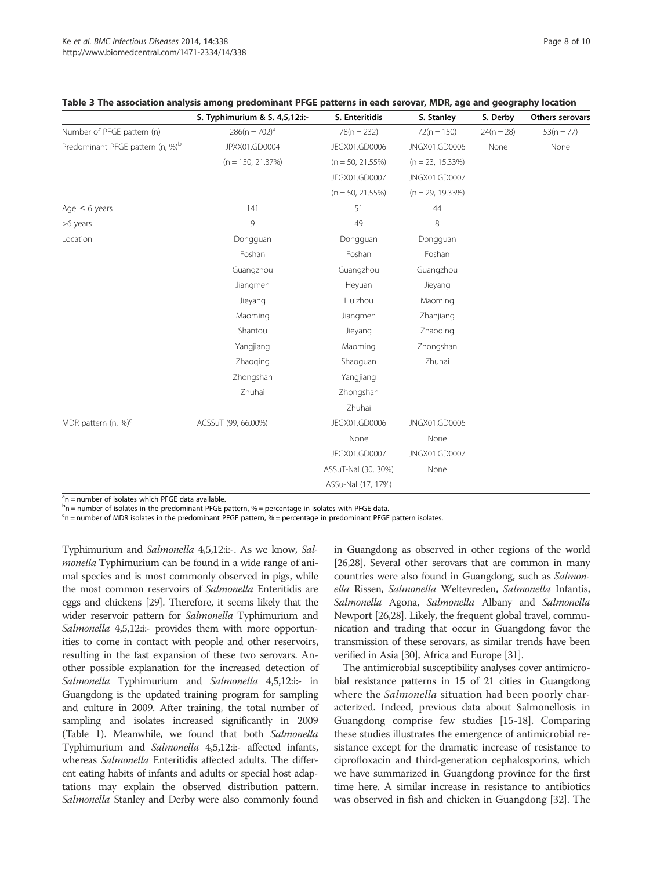|                                              | S. Typhimurium & S. 4,5,12:i:- | S. Enteritidis      | S. Stanley          | S. Derby     | Others serovars |
|----------------------------------------------|--------------------------------|---------------------|---------------------|--------------|-----------------|
| Number of PFGE pattern (n)                   | $286(n = 702)^a$               | $78(n = 232)$       | $72(n = 150)$       | $24(n = 28)$ | $53(n = 77)$    |
| Predominant PFGE pattern (n, %) <sup>b</sup> | JPXX01.GD0004                  | JEGX01.GD0006       | JNGX01.GD0006       | None         | None            |
|                                              | $(n = 150, 21.37%)$            | $(n = 50, 21.55%)$  | $(n = 23, 15.33\%)$ |              |                 |
|                                              |                                | JEGX01.GD0007       | JNGX01.GD0007       |              |                 |
|                                              |                                | $(n = 50, 21.55%)$  | $(n = 29, 19.33\%)$ |              |                 |
| Age $\leq$ 6 years                           | 141                            | 51                  | 44                  |              |                 |
| >6 years                                     | 9                              | 49                  | 8                   |              |                 |
| Location                                     | Dongguan                       | Dongguan            | Dongguan            |              |                 |
|                                              | Foshan                         | Foshan              | Foshan              |              |                 |
|                                              | Guangzhou                      | Guangzhou           | Guangzhou           |              |                 |
|                                              | Jiangmen                       | Heyuan              | Jieyang             |              |                 |
|                                              | Jieyang                        | Huizhou             | Maoming             |              |                 |
|                                              | Maoming                        | Jiangmen            | Zhanjiang           |              |                 |
|                                              | Shantou                        | Jieyang             | Zhaoging            |              |                 |
|                                              | Yangjiang                      | Maoming             | Zhongshan           |              |                 |
|                                              | Zhaoging                       | Shaoquan            | Zhuhai              |              |                 |
|                                              | Zhongshan                      | Yangjiang           |                     |              |                 |
|                                              | Zhuhai                         | Zhongshan           |                     |              |                 |
|                                              |                                | Zhuhai              |                     |              |                 |
| MDR pattern (n, %) <sup>c</sup>              | ACSSuT (99, 66.00%)            | JEGX01.GD0006       | JNGX01.GD0006       |              |                 |
|                                              |                                | None                | None                |              |                 |
|                                              |                                | JEGX01.GD0007       | JNGX01.GD0007       |              |                 |
|                                              |                                | ASSuT-Nal (30, 30%) | None                |              |                 |
|                                              |                                | ASSu-Nal (17, 17%)  |                     |              |                 |

# Table 3 The association analysis among predominant PFGE patterns in each serovar, MDR, age and geography location

<sup>a</sup>n = number of isolates which PFGE data available.

 $^{\text{b}}$ n = number of isolates in the predominant PFGE pattern, % = percentage in isolates with PFGE data.

<sup>c</sup>n = number of MDR isolates in the predominant PFGE pattern, % = percentage in predominant PFGE pattern isolates.

Typhimurium and Salmonella 4,5,12:i:-. As we know, Salmonella Typhimurium can be found in a wide range of animal species and is most commonly observed in pigs, while the most common reservoirs of Salmonella Enteritidis are eggs and chickens [29]. Therefore, it seems likely that the wider reservoir pattern for Salmonella Typhimurium and Salmonella 4,5,12:i:- provides them with more opportunities to come in contact with people and other reservoirs, resulting in the fast expansion of these two serovars. Another possible explanation for the increased detection of Salmonella Typhimurium and Salmonella 4,5,12:i:- in Guangdong is the updated training program for sampling and culture in 2009. After training, the total number of sampling and isolates increased significantly in 2009 (Table 1). Meanwhile, we found that both Salmonella Typhimurium and Salmonella 4,5,12:i:- affected infants, whereas Salmonella Enteritidis affected adults. The different eating habits of infants and adults or special host adaptations may explain the observed distribution pattern. Salmonella Stanley and Derby were also commonly found

in Guangdong as observed in other regions of the world [26,28]. Several other serovars that are common in many countries were also found in Guangdong, such as Salmonella Rissen, Salmonella Weltevreden, Salmonella Infantis, Salmonella Agona, Salmonella Albany and Salmonella Newport [26,28]. Likely, the frequent global travel, communication and trading that occur in Guangdong favor the transmission of these serovars, as similar trends have been verified in Asia [30], Africa and Europe [31].

The antimicrobial susceptibility analyses cover antimicrobial resistance patterns in 15 of 21 cities in Guangdong where the *Salmonella* situation had been poorly characterized. Indeed, previous data about Salmonellosis in Guangdong comprise few studies [15-18]. Comparing these studies illustrates the emergence of antimicrobial resistance except for the dramatic increase of resistance to ciprofloxacin and third-generation cephalosporins, which we have summarized in Guangdong province for the first time here. A similar increase in resistance to antibiotics was observed in fish and chicken in Guangdong [32]. The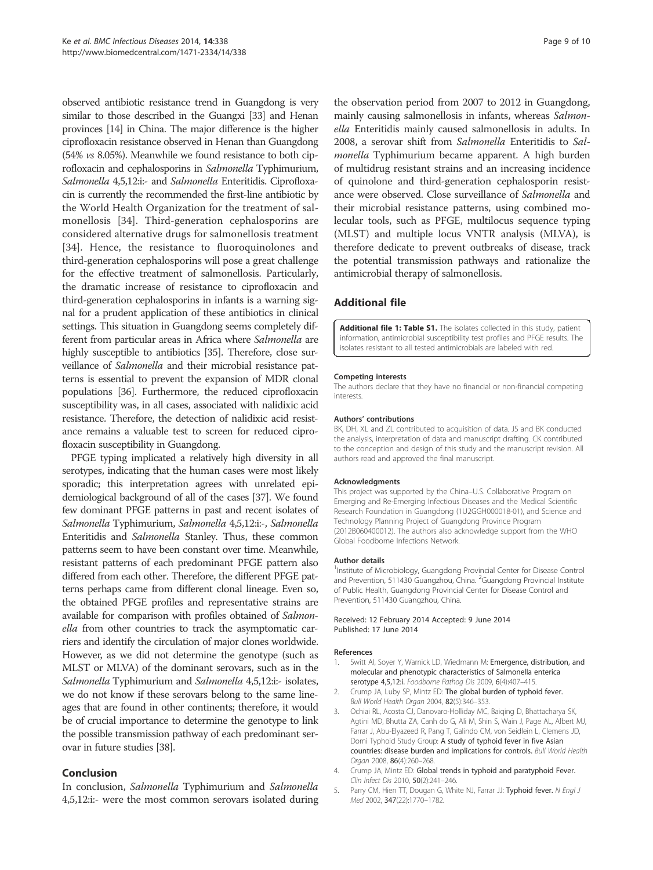observed antibiotic resistance trend in Guangdong is very similar to those described in the Guangxi [33] and Henan provinces [14] in China. The major difference is the higher ciprofloxacin resistance observed in Henan than Guangdong (54% vs 8.05%). Meanwhile we found resistance to both ciprofloxacin and cephalosporins in Salmonella Typhimurium, Salmonella 4,5,12:i:- and Salmonella Enteritidis. Ciprofloxacin is currently the recommended the first-line antibiotic by the World Health Organization for the treatment of salmonellosis [34]. Third-generation cephalosporins are considered alternative drugs for salmonellosis treatment [34]. Hence, the resistance to fluoroquinolones and third-generation cephalosporins will pose a great challenge for the effective treatment of salmonellosis. Particularly, the dramatic increase of resistance to ciprofloxacin and third-generation cephalosporins in infants is a warning signal for a prudent application of these antibiotics in clinical settings. This situation in Guangdong seems completely different from particular areas in Africa where Salmonella are highly susceptible to antibiotics [35]. Therefore, close surveillance of Salmonella and their microbial resistance patterns is essential to prevent the expansion of MDR clonal populations [36]. Furthermore, the reduced ciprofloxacin susceptibility was, in all cases, associated with nalidixic acid resistance. Therefore, the detection of nalidixic acid resistance remains a valuable test to screen for reduced ciprofloxacin susceptibility in Guangdong.

PFGE typing implicated a relatively high diversity in all serotypes, indicating that the human cases were most likely sporadic; this interpretation agrees with unrelated epidemiological background of all of the cases [37]. We found few dominant PFGE patterns in past and recent isolates of Salmonella Typhimurium, Salmonella 4,5,12:i:-, Salmonella Enteritidis and Salmonella Stanley. Thus, these common patterns seem to have been constant over time. Meanwhile, resistant patterns of each predominant PFGE pattern also differed from each other. Therefore, the different PFGE patterns perhaps came from different clonal lineage. Even so, the obtained PFGE profiles and representative strains are available for comparison with profiles obtained of Salmonella from other countries to track the asymptomatic carriers and identify the circulation of major clones worldwide. However, as we did not determine the genotype (such as MLST or MLVA) of the dominant serovars, such as in the Salmonella Typhimurium and Salmonella 4,5,12:i:- isolates, we do not know if these serovars belong to the same lineages that are found in other continents; therefore, it would be of crucial importance to determine the genotype to link the possible transmission pathway of each predominant serovar in future studies [38].

# Conclusion

In conclusion, Salmonella Typhimurium and Salmonella 4,5,12:i:- were the most common serovars isolated during

the observation period from 2007 to 2012 in Guangdong, mainly causing salmonellosis in infants, whereas Salmonella Enteritidis mainly caused salmonellosis in adults. In 2008, a serovar shift from Salmonella Enteritidis to Salmonella Typhimurium became apparent. A high burden of multidrug resistant strains and an increasing incidence of quinolone and third-generation cephalosporin resistance were observed. Close surveillance of Salmonella and their microbial resistance patterns, using combined molecular tools, such as PFGE, multilocus sequence typing (MLST) and multiple locus VNTR analysis (MLVA), is therefore dedicate to prevent outbreaks of disease, track the potential transmission pathways and rationalize the antimicrobial therapy of salmonellosis.

# Additional file

Additional file 1: Table S1. The isolates collected in this study, patient information, antimicrobial susceptibility test profiles and PFGE results. The isolates resistant to all tested antimicrobials are labeled with red.

#### Competing interests

The authors declare that they have no financial or non-financial competing interests.

#### Authors' contributions

BK, DH, XL and ZL contributed to acquisition of data. JS and BK conducted the analysis, interpretation of data and manuscript drafting. CK contributed to the conception and design of this study and the manuscript revision. All authors read and approved the final manuscript.

#### Acknowledgments

This project was supported by the China–U.S. Collaborative Program on Emerging and Re-Emerging Infectious Diseases and the Medical Scientific Research Foundation in Guangdong (1U2GGH000018-01), and Science and Technology Planning Project of Guangdong Province Program (2012B060400012). The authors also acknowledge support from the WHO Global Foodborne Infections Network.

#### Author details

<sup>1</sup>Institute of Microbiology, Guangdong Provincial Center for Disease Control and Prevention, 511430 Guangzhou, China. <sup>2</sup>Guangdong Provincial Institute of Public Health, Guangdong Provincial Center for Disease Control and Prevention, 511430 Guangzhou, China.

#### Received: 12 February 2014 Accepted: 9 June 2014 Published: 17 June 2014

#### References

- 1. Switt AI, Soyer Y, Warnick LD, Wiedmann M: Emergence, distribution, and molecular and phenotypic characteristics of Salmonella enterica serotype 4,5,12:i. Foodborne Pathog Dis 2009, 6(4):407–415.
- 2. Crump JA, Luby SP, Mintz ED: The global burden of typhoid fever. Bull World Health Organ 2004, 82(5):346–353.
- 3. Ochiai RL, Acosta CJ, Danovaro-Holliday MC, Baiqing D, Bhattacharya SK, Agtini MD, Bhutta ZA, Canh do G, Ali M, Shin S, Wain J, Page AL, Albert MJ, Farrar J, Abu-Elyazeed R, Pang T, Galindo CM, von Seidlein L, Clemens JD, Domi Typhoid Study Group: A study of typhoid fever in five Asian countries: disease burden and implications for controls. Bull World Health Organ 2008, 86(4):260–268.
- 4. Crump JA, Mintz ED: Global trends in typhoid and paratyphoid Fever. Clin Infect Dis 2010, 50(2):241–246.
- 5. Parry CM, Hien TT, Dougan G, White NJ, Farrar JJ: Typhoid fever. N Engl J Med 2002, 347(22):1770–1782.